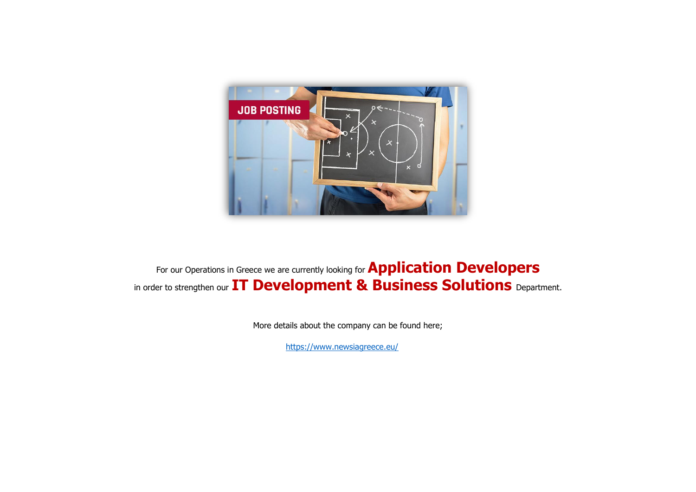

For our Operations in Greece we are currently looking for **Application Developers** in order to strengthen our **IT Development & Business Solutions** Department.

More details about the company can be found here;

<https://www.newsiagreece.eu/>